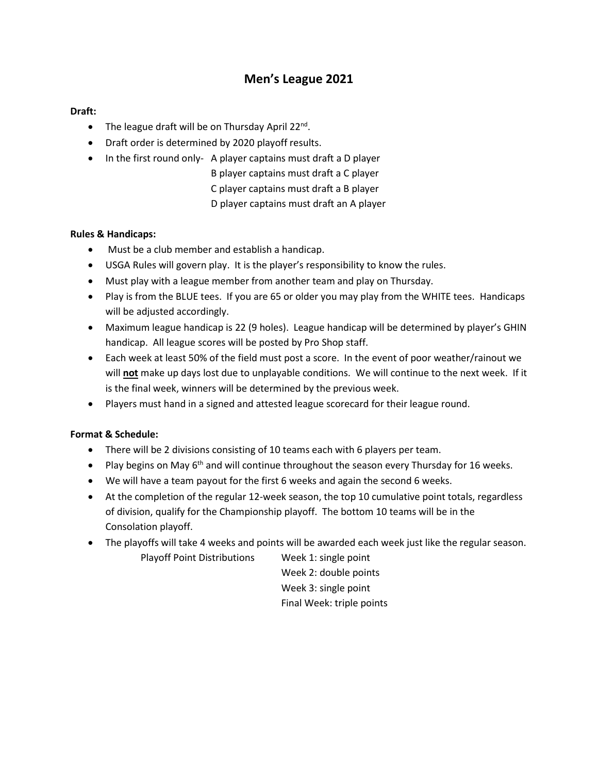# **Men's League 2021**

### **Draft:**

- The league draft will be on Thursday April 22<sup>nd</sup>.
- Draft order is determined by 2020 playoff results.
- In the first round only- A player captains must draft a D player
	- B player captains must draft a C player
		- C player captains must draft a B player
		- D player captains must draft an A player

## **Rules & Handicaps:**

- Must be a club member and establish a handicap.
- USGA Rules will govern play. It is the player's responsibility to know the rules.
- Must play with a league member from another team and play on Thursday.
- Play is from the BLUE tees. If you are 65 or older you may play from the WHITE tees. Handicaps will be adjusted accordingly.
- Maximum league handicap is 22 (9 holes). League handicap will be determined by player's GHIN handicap. All league scores will be posted by Pro Shop staff.
- Each week at least 50% of the field must post a score. In the event of poor weather/rainout we will **not** make up days lost due to unplayable conditions. We will continue to the next week. If it is the final week, winners will be determined by the previous week.
- Players must hand in a signed and attested league scorecard for their league round.

## **Format & Schedule:**

- There will be 2 divisions consisting of 10 teams each with 6 players per team.
- Play begins on May 6<sup>th</sup> and will continue throughout the season every Thursday for 16 weeks.
- We will have a team payout for the first 6 weeks and again the second 6 weeks.
- At the completion of the regular 12-week season, the top 10 cumulative point totals, regardless of division, qualify for the Championship playoff. The bottom 10 teams will be in the Consolation playoff.
- The playoffs will take 4 weeks and points will be awarded each week just like the regular season.

Playoff Point Distributions Week 1: single point Week 2: double points Week 3: single point Final Week: triple points